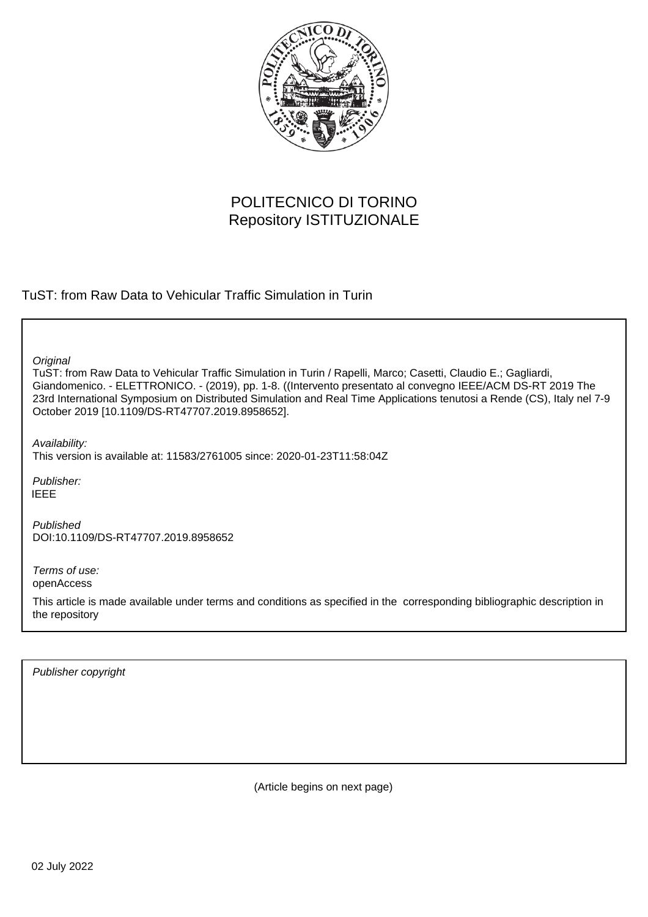

# POLITECNICO DI TORINO Repository ISTITUZIONALE

TuST: from Raw Data to Vehicular Traffic Simulation in Turin

**Original** 

TuST: from Raw Data to Vehicular Traffic Simulation in Turin / Rapelli, Marco; Casetti, Claudio E.; Gagliardi, Giandomenico. - ELETTRONICO. - (2019), pp. 1-8. ((Intervento presentato al convegno IEEE/ACM DS-RT 2019 The 23rd International Symposium on Distributed Simulation and Real Time Applications tenutosi a Rende (CS), Italy nel 7-9 October 2019 [10.1109/DS-RT47707.2019.8958652].

Availability:

This version is available at: 11583/2761005 since: 2020-01-23T11:58:04Z

Publisher: IEEE

Published DOI:10.1109/DS-RT47707.2019.8958652

Terms of use: openAccess

This article is made available under terms and conditions as specified in the corresponding bibliographic description in the repository

Publisher copyright

(Article begins on next page)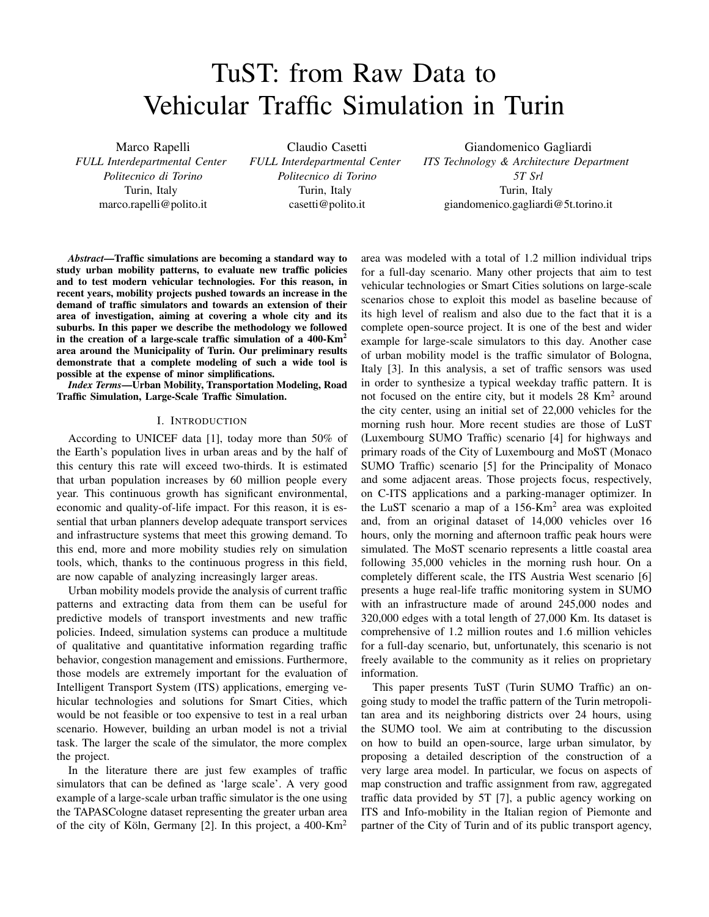# TuST: from Raw Data to Vehicular Traffic Simulation in Turin

Marco Rapelli *FULL Interdepartmental Center Politecnico di Torino* Turin, Italy marco.rapelli@polito.it

Claudio Casetti *FULL Interdepartmental Center Politecnico di Torino* Turin, Italy casetti@polito.it

Giandomenico Gagliardi *ITS Technology & Architecture Department 5T Srl* Turin, Italy giandomenico.gagliardi@5t.torino.it

*Abstract*—Traffic simulations are becoming a standard way to study urban mobility patterns, to evaluate new traffic policies and to test modern vehicular technologies. For this reason, in recent years, mobility projects pushed towards an increase in the demand of traffic simulators and towards an extension of their area of investigation, aiming at covering a whole city and its suburbs. In this paper we describe the methodology we followed in the creation of a large-scale traffic simulation of a  $400 \text{-} Km^2$ area around the Municipality of Turin. Our preliminary results demonstrate that a complete modeling of such a wide tool is possible at the expense of minor simplifications.

*Index Terms*—Urban Mobility, Transportation Modeling, Road Traffic Simulation, Large-Scale Traffic Simulation.

#### I. INTRODUCTION

According to UNICEF data [1], today more than 50% of the Earth's population lives in urban areas and by the half of this century this rate will exceed two-thirds. It is estimated that urban population increases by 60 million people every year. This continuous growth has significant environmental, economic and quality-of-life impact. For this reason, it is essential that urban planners develop adequate transport services and infrastructure systems that meet this growing demand. To this end, more and more mobility studies rely on simulation tools, which, thanks to the continuous progress in this field, are now capable of analyzing increasingly larger areas.

Urban mobility models provide the analysis of current traffic patterns and extracting data from them can be useful for predictive models of transport investments and new traffic policies. Indeed, simulation systems can produce a multitude of qualitative and quantitative information regarding traffic behavior, congestion management and emissions. Furthermore, those models are extremely important for the evaluation of Intelligent Transport System (ITS) applications, emerging vehicular technologies and solutions for Smart Cities, which would be not feasible or too expensive to test in a real urban scenario. However, building an urban model is not a trivial task. The larger the scale of the simulator, the more complex the project.

In the literature there are just few examples of traffic simulators that can be defined as 'large scale'. A very good example of a large-scale urban traffic simulator is the one using the TAPASCologne dataset representing the greater urban area of the city of Köln, Germany [2]. In this project, a 400-Km<sup>2</sup>

area was modeled with a total of 1.2 million individual trips for a full-day scenario. Many other projects that aim to test vehicular technologies or Smart Cities solutions on large-scale scenarios chose to exploit this model as baseline because of its high level of realism and also due to the fact that it is a complete open-source project. It is one of the best and wider example for large-scale simulators to this day. Another case of urban mobility model is the traffic simulator of Bologna, Italy [3]. In this analysis, a set of traffic sensors was used in order to synthesize a typical weekday traffic pattern. It is not focused on the entire city, but it models 28 Km<sup>2</sup> around the city center, using an initial set of 22,000 vehicles for the morning rush hour. More recent studies are those of LuST (Luxembourg SUMO Traffic) scenario [4] for highways and primary roads of the City of Luxembourg and MoST (Monaco SUMO Traffic) scenario [5] for the Principality of Monaco and some adjacent areas. Those projects focus, respectively, on C-ITS applications and a parking-manager optimizer. In the LuST scenario a map of a 156-Km<sup>2</sup> area was exploited and, from an original dataset of 14,000 vehicles over 16 hours, only the morning and afternoon traffic peak hours were simulated. The MoST scenario represents a little coastal area following 35,000 vehicles in the morning rush hour. On a completely different scale, the ITS Austria West scenario [6] presents a huge real-life traffic monitoring system in SUMO with an infrastructure made of around 245,000 nodes and 320,000 edges with a total length of 27,000 Km. Its dataset is comprehensive of 1.2 million routes and 1.6 million vehicles for a full-day scenario, but, unfortunately, this scenario is not freely available to the community as it relies on proprietary information.

This paper presents TuST (Turin SUMO Traffic) an ongoing study to model the traffic pattern of the Turin metropolitan area and its neighboring districts over 24 hours, using the SUMO tool. We aim at contributing to the discussion on how to build an open-source, large urban simulator, by proposing a detailed description of the construction of a very large area model. In particular, we focus on aspects of map construction and traffic assignment from raw, aggregated traffic data provided by 5T [7], a public agency working on ITS and Info-mobility in the Italian region of Piemonte and partner of the City of Turin and of its public transport agency,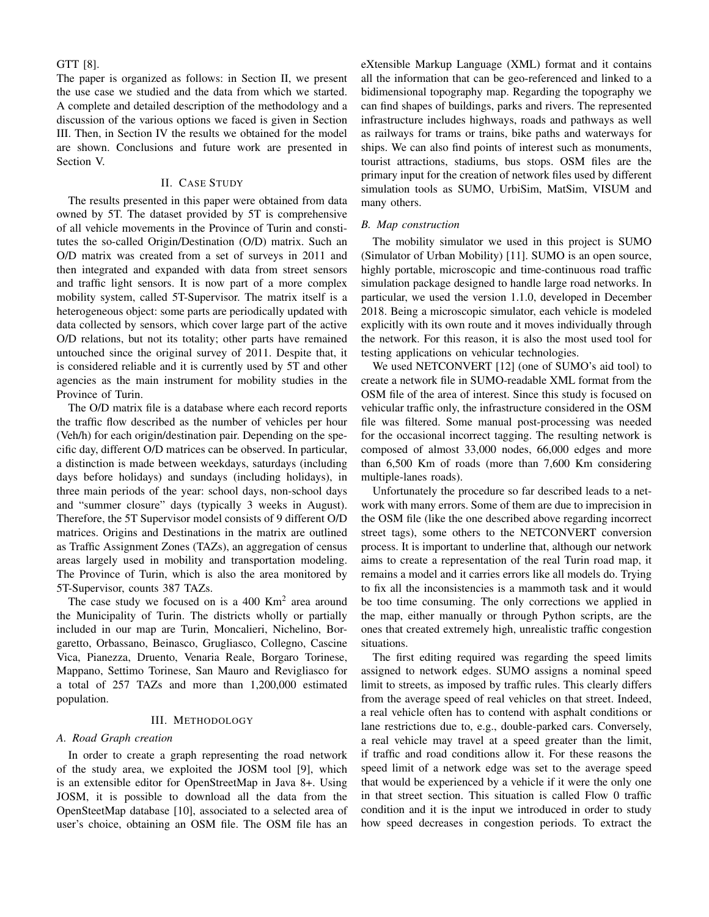GTT [8].

The paper is organized as follows: in Section II, we present the use case we studied and the data from which we started. A complete and detailed description of the methodology and a discussion of the various options we faced is given in Section III. Then, in Section IV the results we obtained for the model are shown. Conclusions and future work are presented in Section V.

## II. CASE STUDY

The results presented in this paper were obtained from data owned by 5T. The dataset provided by 5T is comprehensive of all vehicle movements in the Province of Turin and constitutes the so-called Origin/Destination (O/D) matrix. Such an O/D matrix was created from a set of surveys in 2011 and then integrated and expanded with data from street sensors and traffic light sensors. It is now part of a more complex mobility system, called 5T-Supervisor. The matrix itself is a heterogeneous object: some parts are periodically updated with data collected by sensors, which cover large part of the active O/D relations, but not its totality; other parts have remained untouched since the original survey of 2011. Despite that, it is considered reliable and it is currently used by 5T and other agencies as the main instrument for mobility studies in the Province of Turin.

The O/D matrix file is a database where each record reports the traffic flow described as the number of vehicles per hour (Veh/h) for each origin/destination pair. Depending on the specific day, different O/D matrices can be observed. In particular, a distinction is made between weekdays, saturdays (including days before holidays) and sundays (including holidays), in three main periods of the year: school days, non-school days and "summer closure" days (typically 3 weeks in August). Therefore, the 5T Supervisor model consists of 9 different O/D matrices. Origins and Destinations in the matrix are outlined as Traffic Assignment Zones (TAZs), an aggregation of census areas largely used in mobility and transportation modeling. The Province of Turin, which is also the area monitored by 5T-Supervisor, counts 387 TAZs.

The case study we focused on is a  $400 \text{ Km}^2$  area around the Municipality of Turin. The districts wholly or partially included in our map are Turin, Moncalieri, Nichelino, Borgaretto, Orbassano, Beinasco, Grugliasco, Collegno, Cascine Vica, Pianezza, Druento, Venaria Reale, Borgaro Torinese, Mappano, Settimo Torinese, San Mauro and Revigliasco for a total of 257 TAZs and more than 1,200,000 estimated population.

#### III. METHODOLOGY

#### *A. Road Graph creation*

In order to create a graph representing the road network of the study area, we exploited the JOSM tool [9], which is an extensible editor for OpenStreetMap in Java 8+. Using JOSM, it is possible to download all the data from the OpenSteetMap database [10], associated to a selected area of user's choice, obtaining an OSM file. The OSM file has an eXtensible Markup Language (XML) format and it contains all the information that can be geo-referenced and linked to a bidimensional topography map. Regarding the topography we can find shapes of buildings, parks and rivers. The represented infrastructure includes highways, roads and pathways as well as railways for trams or trains, bike paths and waterways for ships. We can also find points of interest such as monuments, tourist attractions, stadiums, bus stops. OSM files are the primary input for the creation of network files used by different simulation tools as SUMO, UrbiSim, MatSim, VISUM and many others.

#### *B. Map construction*

The mobility simulator we used in this project is SUMO (Simulator of Urban Mobility) [11]. SUMO is an open source, highly portable, microscopic and time-continuous road traffic simulation package designed to handle large road networks. In particular, we used the version 1.1.0, developed in December 2018. Being a microscopic simulator, each vehicle is modeled explicitly with its own route and it moves individually through the network. For this reason, it is also the most used tool for testing applications on vehicular technologies.

We used NETCONVERT [12] (one of SUMO's aid tool) to create a network file in SUMO-readable XML format from the OSM file of the area of interest. Since this study is focused on vehicular traffic only, the infrastructure considered in the OSM file was filtered. Some manual post-processing was needed for the occasional incorrect tagging. The resulting network is composed of almost 33,000 nodes, 66,000 edges and more than 6,500 Km of roads (more than 7,600 Km considering multiple-lanes roads).

Unfortunately the procedure so far described leads to a network with many errors. Some of them are due to imprecision in the OSM file (like the one described above regarding incorrect street tags), some others to the NETCONVERT conversion process. It is important to underline that, although our network aims to create a representation of the real Turin road map, it remains a model and it carries errors like all models do. Trying to fix all the inconsistencies is a mammoth task and it would be too time consuming. The only corrections we applied in the map, either manually or through Python scripts, are the ones that created extremely high, unrealistic traffic congestion situations.

The first editing required was regarding the speed limits assigned to network edges. SUMO assigns a nominal speed limit to streets, as imposed by traffic rules. This clearly differs from the average speed of real vehicles on that street. Indeed, a real vehicle often has to contend with asphalt conditions or lane restrictions due to, e.g., double-parked cars. Conversely, a real vehicle may travel at a speed greater than the limit, if traffic and road conditions allow it. For these reasons the speed limit of a network edge was set to the average speed that would be experienced by a vehicle if it were the only one in that street section. This situation is called Flow 0 traffic condition and it is the input we introduced in order to study how speed decreases in congestion periods. To extract the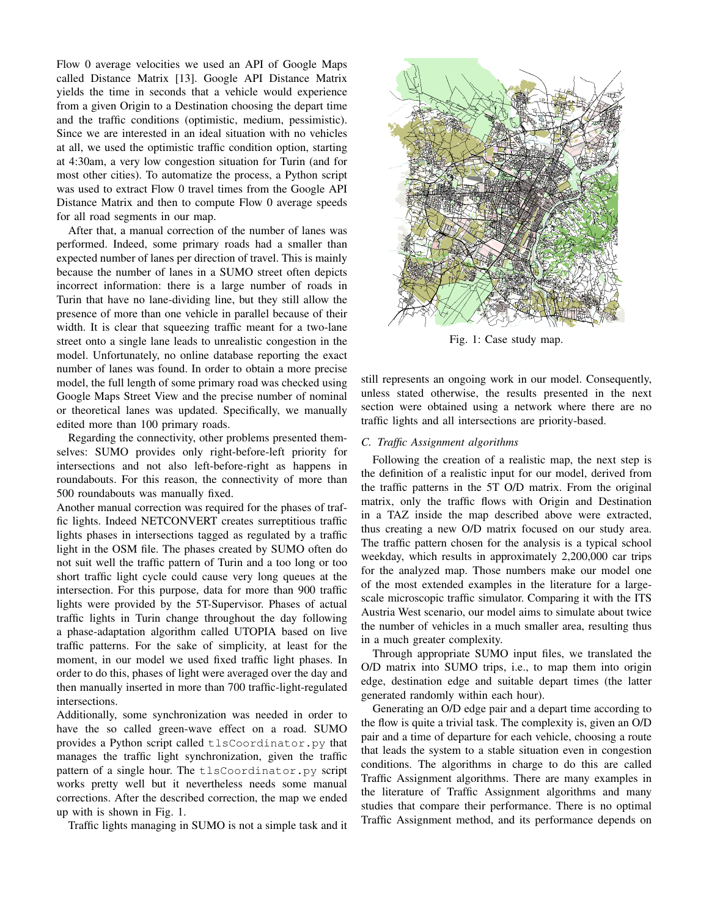Flow 0 average velocities we used an API of Google Maps called Distance Matrix [13]. Google API Distance Matrix yields the time in seconds that a vehicle would experience from a given Origin to a Destination choosing the depart time and the traffic conditions (optimistic, medium, pessimistic). Since we are interested in an ideal situation with no vehicles at all, we used the optimistic traffic condition option, starting at 4:30am, a very low congestion situation for Turin (and for most other cities). To automatize the process, a Python script was used to extract Flow 0 travel times from the Google API Distance Matrix and then to compute Flow 0 average speeds for all road segments in our map.

After that, a manual correction of the number of lanes was performed. Indeed, some primary roads had a smaller than expected number of lanes per direction of travel. This is mainly because the number of lanes in a SUMO street often depicts incorrect information: there is a large number of roads in Turin that have no lane-dividing line, but they still allow the presence of more than one vehicle in parallel because of their width. It is clear that squeezing traffic meant for a two-lane street onto a single lane leads to unrealistic congestion in the model. Unfortunately, no online database reporting the exact number of lanes was found. In order to obtain a more precise model, the full length of some primary road was checked using Google Maps Street View and the precise number of nominal or theoretical lanes was updated. Specifically, we manually edited more than 100 primary roads.

Regarding the connectivity, other problems presented themselves: SUMO provides only right-before-left priority for intersections and not also left-before-right as happens in roundabouts. For this reason, the connectivity of more than 500 roundabouts was manually fixed.

Another manual correction was required for the phases of traffic lights. Indeed NETCONVERT creates surreptitious traffic lights phases in intersections tagged as regulated by a traffic light in the OSM file. The phases created by SUMO often do not suit well the traffic pattern of Turin and a too long or too short traffic light cycle could cause very long queues at the intersection. For this purpose, data for more than 900 traffic lights were provided by the 5T-Supervisor. Phases of actual traffic lights in Turin change throughout the day following a phase-adaptation algorithm called UTOPIA based on live traffic patterns. For the sake of simplicity, at least for the moment, in our model we used fixed traffic light phases. In order to do this, phases of light were averaged over the day and then manually inserted in more than 700 traffic-light-regulated intersections.

Additionally, some synchronization was needed in order to have the so called green-wave effect on a road. SUMO provides a Python script called tlsCoordinator.py that manages the traffic light synchronization, given the traffic pattern of a single hour. The tlsCoordinator.py script works pretty well but it nevertheless needs some manual corrections. After the described correction, the map we ended up with is shown in Fig. 1.

Traffic lights managing in SUMO is not a simple task and it



Fig. 1: Case study map.

still represents an ongoing work in our model. Consequently, unless stated otherwise, the results presented in the next section were obtained using a network where there are no traffic lights and all intersections are priority-based.

#### *C. Traffic Assignment algorithms*

Following the creation of a realistic map, the next step is the definition of a realistic input for our model, derived from the traffic patterns in the 5T O/D matrix. From the original matrix, only the traffic flows with Origin and Destination in a TAZ inside the map described above were extracted, thus creating a new O/D matrix focused on our study area. The traffic pattern chosen for the analysis is a typical school weekday, which results in approximately 2,200,000 car trips for the analyzed map. Those numbers make our model one of the most extended examples in the literature for a largescale microscopic traffic simulator. Comparing it with the ITS Austria West scenario, our model aims to simulate about twice the number of vehicles in a much smaller area, resulting thus in a much greater complexity.

Through appropriate SUMO input files, we translated the O/D matrix into SUMO trips, i.e., to map them into origin edge, destination edge and suitable depart times (the latter generated randomly within each hour).

Generating an O/D edge pair and a depart time according to the flow is quite a trivial task. The complexity is, given an O/D pair and a time of departure for each vehicle, choosing a route that leads the system to a stable situation even in congestion conditions. The algorithms in charge to do this are called Traffic Assignment algorithms. There are many examples in the literature of Traffic Assignment algorithms and many studies that compare their performance. There is no optimal Traffic Assignment method, and its performance depends on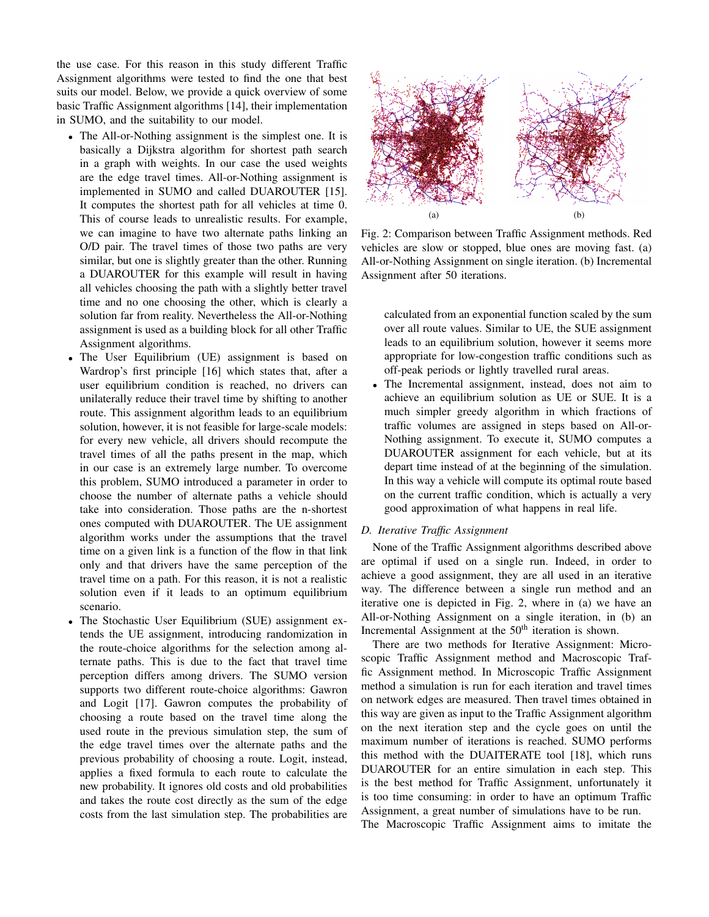the use case. For this reason in this study different Traffic Assignment algorithms were tested to find the one that best suits our model. Below, we provide a quick overview of some basic Traffic Assignment algorithms [14], their implementation in SUMO, and the suitability to our model.

- The All-or-Nothing assignment is the simplest one. It is basically a Dijkstra algorithm for shortest path search in a graph with weights. In our case the used weights are the edge travel times. All-or-Nothing assignment is implemented in SUMO and called DUAROUTER [15]. It computes the shortest path for all vehicles at time 0. This of course leads to unrealistic results. For example, we can imagine to have two alternate paths linking an O/D pair. The travel times of those two paths are very similar, but one is slightly greater than the other. Running a DUAROUTER for this example will result in having all vehicles choosing the path with a slightly better travel time and no one choosing the other, which is clearly a solution far from reality. Nevertheless the All-or-Nothing assignment is used as a building block for all other Traffic Assignment algorithms.
- The User Equilibrium (UE) assignment is based on Wardrop's first principle [16] which states that, after a user equilibrium condition is reached, no drivers can unilaterally reduce their travel time by shifting to another route. This assignment algorithm leads to an equilibrium solution, however, it is not feasible for large-scale models: for every new vehicle, all drivers should recompute the travel times of all the paths present in the map, which in our case is an extremely large number. To overcome this problem, SUMO introduced a parameter in order to choose the number of alternate paths a vehicle should take into consideration. Those paths are the n-shortest ones computed with DUAROUTER. The UE assignment algorithm works under the assumptions that the travel time on a given link is a function of the flow in that link only and that drivers have the same perception of the travel time on a path. For this reason, it is not a realistic solution even if it leads to an optimum equilibrium scenario.
- The Stochastic User Equilibrium (SUE) assignment extends the UE assignment, introducing randomization in the route-choice algorithms for the selection among alternate paths. This is due to the fact that travel time perception differs among drivers. The SUMO version supports two different route-choice algorithms: Gawron and Logit [17]. Gawron computes the probability of choosing a route based on the travel time along the used route in the previous simulation step, the sum of the edge travel times over the alternate paths and the previous probability of choosing a route. Logit, instead, applies a fixed formula to each route to calculate the new probability. It ignores old costs and old probabilities and takes the route cost directly as the sum of the edge costs from the last simulation step. The probabilities are



Fig. 2: Comparison between Traffic Assignment methods. Red vehicles are slow or stopped, blue ones are moving fast. (a) All-or-Nothing Assignment on single iteration. (b) Incremental Assignment after 50 iterations.

calculated from an exponential function scaled by the sum over all route values. Similar to UE, the SUE assignment leads to an equilibrium solution, however it seems more appropriate for low-congestion traffic conditions such as off-peak periods or lightly travelled rural areas.

• The Incremental assignment, instead, does not aim to achieve an equilibrium solution as UE or SUE. It is a much simpler greedy algorithm in which fractions of traffic volumes are assigned in steps based on All-or-Nothing assignment. To execute it, SUMO computes a DUAROUTER assignment for each vehicle, but at its depart time instead of at the beginning of the simulation. In this way a vehicle will compute its optimal route based on the current traffic condition, which is actually a very good approximation of what happens in real life.

## *D. Iterative Traffic Assignment*

None of the Traffic Assignment algorithms described above are optimal if used on a single run. Indeed, in order to achieve a good assignment, they are all used in an iterative way. The difference between a single run method and an iterative one is depicted in Fig. 2, where in (a) we have an All-or-Nothing Assignment on a single iteration, in (b) an Incremental Assignment at the 50<sup>th</sup> iteration is shown.

There are two methods for Iterative Assignment: Microscopic Traffic Assignment method and Macroscopic Traffic Assignment method. In Microscopic Traffic Assignment method a simulation is run for each iteration and travel times on network edges are measured. Then travel times obtained in this way are given as input to the Traffic Assignment algorithm on the next iteration step and the cycle goes on until the maximum number of iterations is reached. SUMO performs this method with the DUAITERATE tool [18], which runs DUAROUTER for an entire simulation in each step. This is the best method for Traffic Assignment, unfortunately it is too time consuming: in order to have an optimum Traffic Assignment, a great number of simulations have to be run.

The Macroscopic Traffic Assignment aims to imitate the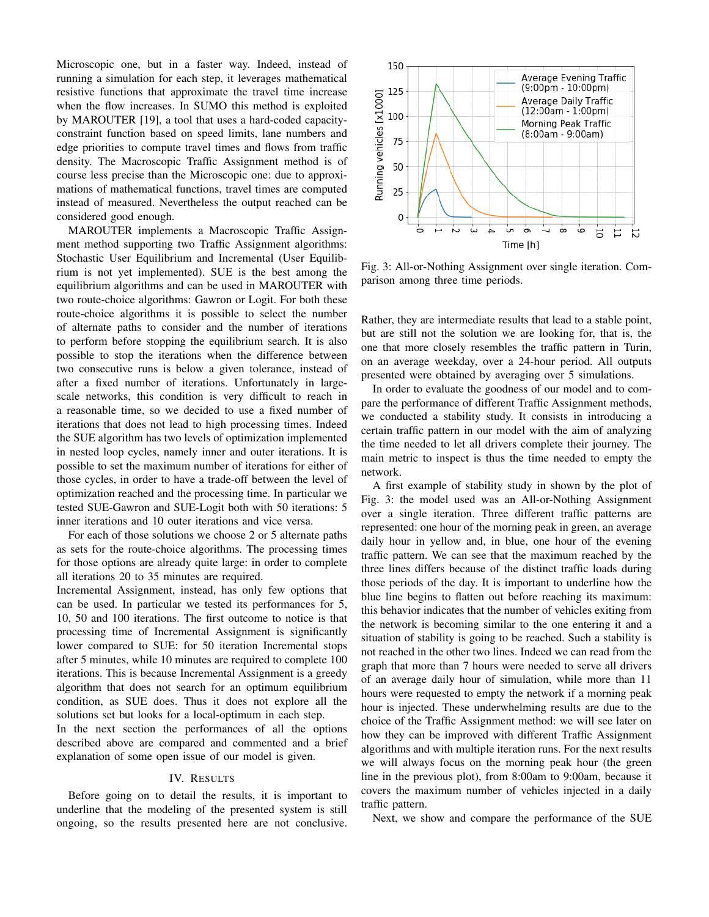Microscopic one, but in a faster way. Indeed, instead of running a simulation for each step, it leverages mathematical resistive functions that approximate the travel time increase when the flow increases. In SUMO this method is exploited by MAROUTER [19], a tool that uses a hard-coded capacityconstraint function based on speed limits, lane numbers and edge priorities to compute travel times and flows from traffic density. The Macroscopic Traffic Assignment method is of course less precise than the Microscopic one: due to approximations of mathematical functions, travel times are computed instead of measured. Nevertheless the output reached can be considered good enough.

MAROUTER implements a Macroscopic Traffic Assignment method supporting two Traffic Assignment algorithms: Stochastic User Equilibrium and Incremental (User Equilibrium is not yet implemented). SUE is the best among the equilibrium algorithms and can be used in MAROUTER with two route-choice algorithms: Gawron or Logit. For both these route-choice algorithms it is possible to select the number of alternate paths to consider and the number of iterations to perform before stopping the equilibrium search. It is also possible to stop the iterations when the difference between two consecutive runs is below a given tolerance, instead of after a fixed number of iterations. Unfortunately in largescale networks, this condition is very difficult to reach in a reasonable time, so we decided to use a fixed number of iterations that does not lead to high processing times. Indeed the SUE algorithm has two levels of optimization implemented in nested loop cycles, namely inner and outer iterations. It is possible to set the maximum number of iterations for either of those cycles, in order to have a trade-off between the level of optimization reached and the processing time. In particular we tested SUE-Gawron and SUE-Logit both with 50 iterations: 5 inner iterations and 10 outer iterations and vice versa.

For each of those solutions we choose 2 or 5 alternate paths as sets for the route-choice algorithms. The processing times for those options are already quite large: in order to complete all iterations 20 to 35 minutes are required.

Incremental Assignment, instead, has only few options that can be used. In particular we tested its performances for 5, 10, 50 and 100 iterations. The first outcome to notice is that processing time of Incremental Assignment is significantly lower compared to SUE: for 50 iteration Incremental stops after 5 minutes, while 10 minutes are required to complete 100 iterations. This is because Incremental Assignment is a greedy algorithm that does not search for an optimum equilibrium condition, as SUE does. Thus it does not explore all the solutions set but looks for a local-optimum in each step.

In the next section the performances of all the options described above are compared and commented and a brief explanation of some open issue of our model is given.

#### IV. RESULTS

Before going on to detail the results, it is important to underline that the modeling of the presented system is still ongoing, so the results presented here are not conclusive.



Fig. 3: All-or-Nothing Assignment over single iteration. Comparison among three time periods.

Rather, they are intermediate results that lead to a stable point, but are still not the solution we are looking for, that is, the one that more closely resembles the traffic pattern in Turin, on an average weekday, over a 24-hour period. All outputs presented were obtained by averaging over 5 simulations.

In order to evaluate the goodness of our model and to compare the performance of different Traffic Assignment methods, we conducted a stability study. It consists in introducing a certain traffic pattern in our model with the aim of analyzing the time needed to let all drivers complete their journey. The main metric to inspect is thus the time needed to empty the network.

A first example of stability study in shown by the plot of Fig. 3: the model used was an All-or-Nothing Assignment over a single iteration. Three different traffic patterns are represented: one hour of the morning peak in green, an average daily hour in yellow and, in blue, one hour of the evening traffic pattern. We can see that the maximum reached by the three lines differs because of the distinct traffic loads during those periods of the day. It is important to underline how the blue line begins to flatten out before reaching its maximum: this behavior indicates that the number of vehicles exiting from the network is becoming similar to the one entering it and a situation of stability is going to be reached. Such a stability is not reached in the other two lines. Indeed we can read from the graph that more than 7 hours were needed to serve all drivers of an average daily hour of simulation, while more than 11 hours were requested to empty the network if a morning peak hour is injected. These underwhelming results are due to the choice of the Traffic Assignment method: we will see later on how they can be improved with different Traffic Assignment algorithms and with multiple iteration runs. For the next results we will always focus on the morning peak hour (the green line in the previous plot), from 8:00am to 9:00am, because it covers the maximum number of vehicles injected in a daily traffic pattern.

Next, we show and compare the performance of the SUE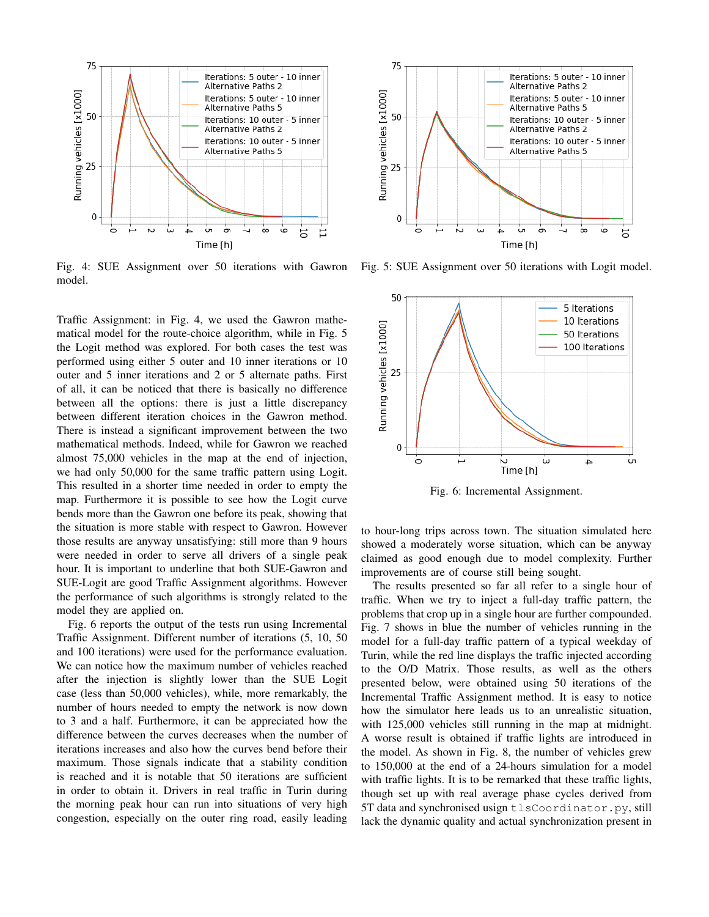

Fig. 4: SUE Assignment over 50 iterations with Gawron model.

Traffic Assignment: in Fig. 4, we used the Gawron mathematical model for the route-choice algorithm, while in Fig. 5 the Logit method was explored. For both cases the test was performed using either 5 outer and 10 inner iterations or 10 outer and 5 inner iterations and 2 or 5 alternate paths. First of all, it can be noticed that there is basically no difference between all the options: there is just a little discrepancy between different iteration choices in the Gawron method. There is instead a significant improvement between the two mathematical methods. Indeed, while for Gawron we reached almost 75,000 vehicles in the map at the end of injection, we had only 50,000 for the same traffic pattern using Logit. This resulted in a shorter time needed in order to empty the map. Furthermore it is possible to see how the Logit curve bends more than the Gawron one before its peak, showing that the situation is more stable with respect to Gawron. However those results are anyway unsatisfying: still more than 9 hours were needed in order to serve all drivers of a single peak hour. It is important to underline that both SUE-Gawron and SUE-Logit are good Traffic Assignment algorithms. However the performance of such algorithms is strongly related to the model they are applied on.

Fig. 6 reports the output of the tests run using Incremental Traffic Assignment. Different number of iterations (5, 10, 50 and 100 iterations) were used for the performance evaluation. We can notice how the maximum number of vehicles reached after the injection is slightly lower than the SUE Logit case (less than 50,000 vehicles), while, more remarkably, the number of hours needed to empty the network is now down to 3 and a half. Furthermore, it can be appreciated how the difference between the curves decreases when the number of iterations increases and also how the curves bend before their maximum. Those signals indicate that a stability condition is reached and it is notable that 50 iterations are sufficient in order to obtain it. Drivers in real traffic in Turin during the morning peak hour can run into situations of very high congestion, especially on the outer ring road, easily leading



Fig. 5: SUE Assignment over 50 iterations with Logit model.



Fig. 6: Incremental Assignment.

to hour-long trips across town. The situation simulated here showed a moderately worse situation, which can be anyway claimed as good enough due to model complexity. Further improvements are of course still being sought.

The results presented so far all refer to a single hour of traffic. When we try to inject a full-day traffic pattern, the problems that crop up in a single hour are further compounded. Fig. 7 shows in blue the number of vehicles running in the model for a full-day traffic pattern of a typical weekday of Turin, while the red line displays the traffic injected according to the O/D Matrix. Those results, as well as the others presented below, were obtained using 50 iterations of the Incremental Traffic Assignment method. It is easy to notice how the simulator here leads us to an unrealistic situation, with 125,000 vehicles still running in the map at midnight. A worse result is obtained if traffic lights are introduced in the model. As shown in Fig. 8, the number of vehicles grew to 150,000 at the end of a 24-hours simulation for a model with traffic lights. It is to be remarked that these traffic lights, though set up with real average phase cycles derived from 5T data and synchronised usign tlsCoordinator.py, still lack the dynamic quality and actual synchronization present in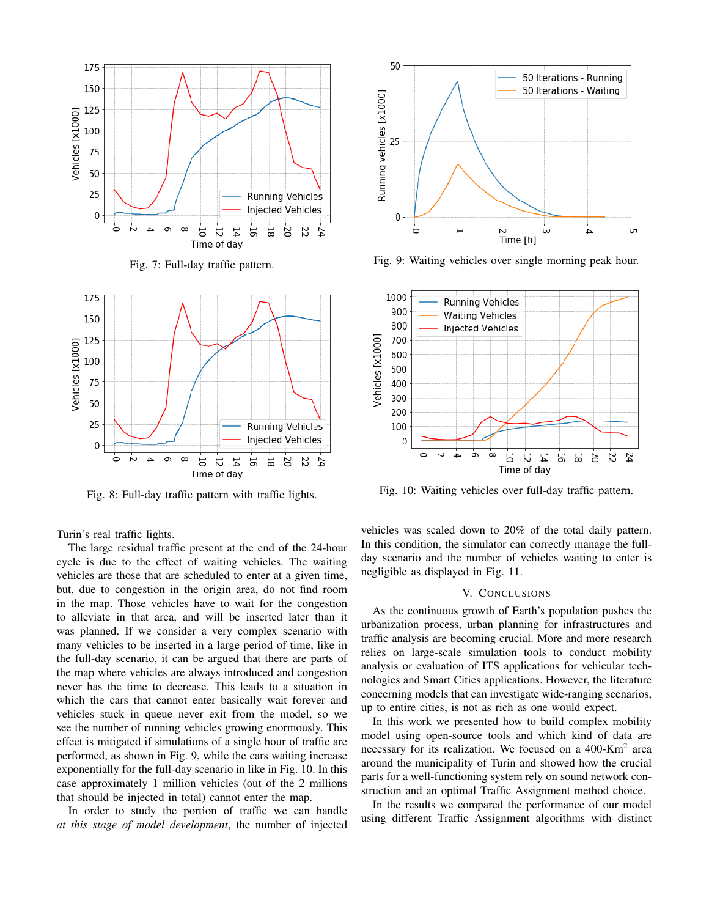





Fig. 8: Full-day traffic pattern with traffic lights.

Turin's real traffic lights.

The large residual traffic present at the end of the 24-hour cycle is due to the effect of waiting vehicles. The waiting vehicles are those that are scheduled to enter at a given time, but, due to congestion in the origin area, do not find room in the map. Those vehicles have to wait for the congestion to alleviate in that area, and will be inserted later than it was planned. If we consider a very complex scenario with many vehicles to be inserted in a large period of time, like in the full-day scenario, it can be argued that there are parts of the map where vehicles are always introduced and congestion never has the time to decrease. This leads to a situation in which the cars that cannot enter basically wait forever and vehicles stuck in queue never exit from the model, so we see the number of running vehicles growing enormously. This effect is mitigated if simulations of a single hour of traffic are performed, as shown in Fig. 9, while the cars waiting increase exponentially for the full-day scenario in like in Fig. 10. In this case approximately 1 million vehicles (out of the 2 millions that should be injected in total) cannot enter the map.

In order to study the portion of traffic we can handle *at this stage of model development*, the number of injected



Fig. 9: Waiting vehicles over single morning peak hour.



Fig. 10: Waiting vehicles over full-day traffic pattern.

vehicles was scaled down to 20% of the total daily pattern. In this condition, the simulator can correctly manage the fullday scenario and the number of vehicles waiting to enter is negligible as displayed in Fig. 11.

#### V. CONCLUSIONS

As the continuous growth of Earth's population pushes the urbanization process, urban planning for infrastructures and traffic analysis are becoming crucial. More and more research relies on large-scale simulation tools to conduct mobility analysis or evaluation of ITS applications for vehicular technologies and Smart Cities applications. However, the literature concerning models that can investigate wide-ranging scenarios, up to entire cities, is not as rich as one would expect.

In this work we presented how to build complex mobility model using open-source tools and which kind of data are necessary for its realization. We focused on a 400-Km<sup>2</sup> area around the municipality of Turin and showed how the crucial parts for a well-functioning system rely on sound network construction and an optimal Traffic Assignment method choice.

In the results we compared the performance of our model using different Traffic Assignment algorithms with distinct